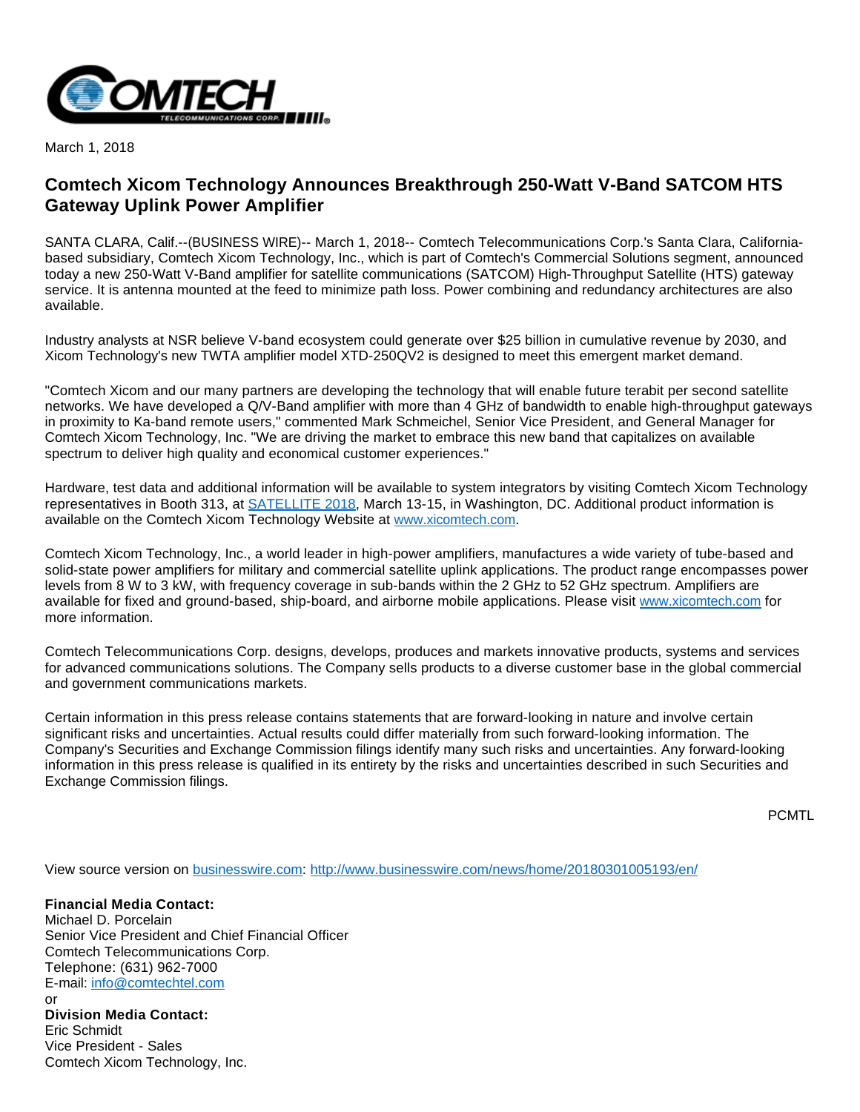

March 1, 2018

## **Comtech Xicom Technology Announces Breakthrough 250-Watt V-Band SATCOM HTS Gateway Uplink Power Amplifier**

SANTA CLARA, Calif.--(BUSINESS WIRE)-- March 1, 2018-- Comtech Telecommunications Corp.'s Santa Clara, Californiabased subsidiary, Comtech Xicom Technology, Inc., which is part of Comtech's Commercial Solutions segment, announced today a new 250-Watt V-Band amplifier for satellite communications (SATCOM) High-Throughput Satellite (HTS) gateway service. It is antenna mounted at the feed to minimize path loss. Power combining and redundancy architectures are also available.

Industry analysts at NSR believe V-band ecosystem could generate over \$25 billion in cumulative revenue by 2030, and Xicom Technology's new TWTA amplifier model XTD-250QV2 is designed to meet this emergent market demand.

"Comtech Xicom and our many partners are developing the technology that will enable future terabit per second satellite networks. We have developed a Q/V-Band amplifier with more than 4 GHz of bandwidth to enable high-throughput gateways in proximity to Ka-band remote users," commented Mark Schmeichel, Senior Vice President, and General Manager for Comtech Xicom Technology, Inc. "We are driving the market to embrace this new band that capitalizes on available spectrum to deliver high quality and economical customer experiences."

Hardware, test data and additional information will be available to system integrators by visiting Comtech Xicom Technology representatives in Booth 313, at [SATELLITE 2018](http://cts.businesswire.com/ct/CT?id=smartlink&url=http%3A%2F%2F2018.satshow.com%2F&esheet=51766418&newsitemid=20180301005193&lan=en-US&anchor=SATELLITE+2018&index=1&md5=daa501623745ce984fa196784f3730f7), March 13-15, in Washington, DC. Additional product information is available on the Comtech Xicom Technology Website at [www.xicomtech.com](http://cts.businesswire.com/ct/CT?id=smartlink&url=http%3A%2F%2Fwww.xicomtech.com&esheet=51766418&newsitemid=20180301005193&lan=en-US&anchor=www.xicomtech.com&index=2&md5=31d37b8d6229ee1df8744858772ec39c).

Comtech Xicom Technology, Inc., a world leader in high-power amplifiers, manufactures a wide variety of tube-based and solid-state power amplifiers for military and commercial satellite uplink applications. The product range encompasses power levels from 8 W to 3 kW, with frequency coverage in sub-bands within the 2 GHz to 52 GHz spectrum. Amplifiers are available for fixed and ground-based, ship-board, and airborne mobile applications. Please visit [www.xicomtech.com](http://cts.businesswire.com/ct/CT?id=smartlink&url=http%3A%2F%2Fwww.globenewswire.com%2Fnewsroom%2Fctr%3Fd%3D246751%26l%3D4%26a%3Dwww.xicomtech.com%26u%3Dhttp%253A%252F%252Fwww.xicomtech.com&esheet=51766418&newsitemid=20180301005193&lan=en-US&anchor=www.xicomtech.com&index=3&md5=5e2bd723d65b812fafb4f37512c529af) for more information.

Comtech Telecommunications Corp. designs, develops, produces and markets innovative products, systems and services for advanced communications solutions. The Company sells products to a diverse customer base in the global commercial and government communications markets.

Certain information in this press release contains statements that are forward-looking in nature and involve certain significant risks and uncertainties. Actual results could differ materially from such forward-looking information. The Company's Securities and Exchange Commission filings identify many such risks and uncertainties. Any forward-looking information in this press release is qualified in its entirety by the risks and uncertainties described in such Securities and Exchange Commission filings.

PCMTL

View source version on [businesswire.com](http://businesswire.com/): <http://www.businesswire.com/news/home/20180301005193/en/>

**Financial Media Contact:** Michael D. Porcelain Senior Vice President and Chief Financial Officer Comtech Telecommunications Corp. Telephone: (631) 962-7000 E-mail: [info@comtechtel.com](mailto:info@comtechtel.com) or

**Division Media Contact:** Eric Schmidt Vice President - Sales Comtech Xicom Technology, Inc.